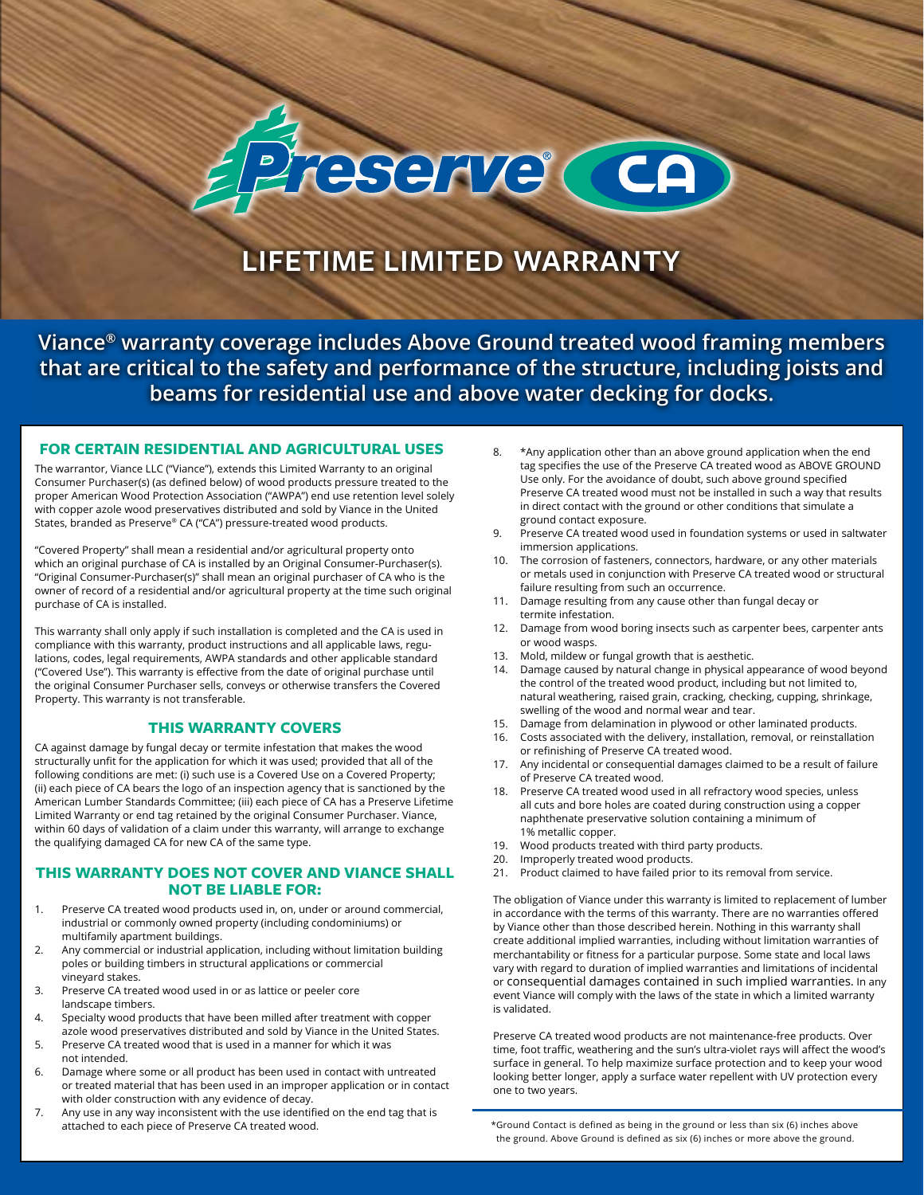# Ireserve (CA)

## **LIFETIME LIMITED WARRANTY**

**Viance® warranty coverage includes Above Ground treated wood framing members that are critical to the safety and performance of the structure, including joists and beams for residential use and above water decking for docks.**

#### **FOR CERTAIN RESIDENTIAL AND AGRICULTURAL USES** 8. \*Any application other than an above ground application when the end

The warrantor, Viance LLC ("Viance"), extends this Limited Warranty to an original Consumer Purchaser(s) (as defined below) of wood products pressure treated to the proper American Wood Protection Association ("AWPA") end use retention level solely with copper azole wood preservatives distributed and sold by Viance in the United States, branded as Preserve® CA ("CA") pressure-treated wood products.

"Covered Property" shall mean a residential and/or agricultural property onto which an original purchase of CA is installed by an Original Consumer-Purchaser(s). "Original Consumer-Purchaser(s)" shall mean an original purchaser of CA who is the owner of record of a residential and/or agricultural property at the time such original purchase of CA is installed.

This warranty shall only apply if such installation is completed and the CA is used in compliance with this warranty, product instructions and all applicable laws, regulations, codes, legal requirements, AWPA standards and other applicable standard ("Covered Use"). This warranty is effective from the date of original purchase until the original Consumer Purchaser sells, conveys or otherwise transfers the Covered Property. This warranty is not transferable.

#### **THIS WARRANTY COVERS**

CA against damage by fungal decay or termite infestation that makes the wood structurally unfit for the application for which it was used; provided that all of the following conditions are met: (i) such use is a Covered Use on a Covered Property; (ii) each piece of CA bears the logo of an inspection agency that is sanctioned by the American Lumber Standards Committee; (iii) each piece of CA has a Preserve Lifetime Limited Warranty or end tag retained by the original Consumer Purchaser. Viance, within 60 days of validation of a claim under this warranty, will arrange to exchange the qualifying damaged CA for new CA of the same type.

#### **THIS WARRANTY DOES NOT COVER AND VIANCE SHALL NOT BE LIABLE FOR:**

- 1. Preserve CA treated wood products used in, on, under or around commercial, industrial or commonly owned property (including condominiums) or multifamily apartment buildings.
- 2. Any commercial or industrial application, including without limitation building poles or building timbers in structural applications or commercial vineyard stakes.
- 3. Preserve CA treated wood used in or as lattice or peeler core landscape timbers.
- 4. Specialty wood products that have been milled after treatment with copper azole wood preservatives distributed and sold by Viance in the United States.
- 5. Preserve CA treated wood that is used in a manner for which it was not intended.
- 6. Damage where some or all product has been used in contact with untreated or treated material that has been used in an improper application or in contact with older construction with any evidence of decay.
- 7. Any use in any way inconsistent with the use identified on the end tag that is attached to each piece of Preserve CA treated wood. \*Ground Contact is defined as being in the ground or less than six (6) inches above
- tag specifies the use of the Preserve CA treated wood as ABOVE GROUND Use only. For the avoidance of doubt, such above ground specified Preserve CA treated wood must not be installed in such a way that results in direct contact with the ground or other conditions that simulate a ground contact exposure.
- Preserve CA treated wood used in foundation systems or used in saltwater immersion applications.
- 10. The corrosion of fasteners, connectors, hardware, or any other materials or metals used in conjunction with Preserve CA treated wood or structural failure resulting from such an occurrence.
- 11. Damage resulting from any cause other than fungal decay or termite infestation.
- 12. Damage from wood boring insects such as carpenter bees, carpenter ants or wood wasps.
- 13. Mold, mildew or fungal growth that is aesthetic.
- 14. Damage caused by natural change in physical appearance of wood beyond the control of the treated wood product, including but not limited to, natural weathering, raised grain, cracking, checking, cupping, shrinkage, swelling of the wood and normal wear and tear.
- 15. Damage from delamination in plywood or other laminated products.
- 16. Costs associated with the delivery, installation, removal, or reinstallation or refinishing of Preserve CA treated wood.
- 17. Any incidental or consequential damages claimed to be a result of failure of Preserve CA treated wood.
- 18. Preserve CA treated wood used in all refractory wood species, unless all cuts and bore holes are coated during construction using a copper naphthenate preservative solution containing a minimum of 1% metallic copper.
- 19. Wood products treated with third party products.
- 20. Improperly treated wood products.
- 21. Product claimed to have failed prior to its removal from service.

The obligation of Viance under this warranty is limited to replacement of lumber in accordance with the terms of this warranty. There are no warranties offered by Viance other than those described herein. Nothing in this warranty shall create additional implied warranties, including without limitation warranties of merchantability or fitness for a particular purpose. Some state and local laws vary with regard to duration of implied warranties and limitations of incidental or consequential damages contained in such implied warranties. In any event Viance will comply with the laws of the state in which a limited warranty is validated.

Preserve CA treated wood products are not maintenance-free products. Over time, foot traffic, weathering and the sun's ultra-violet rays will affect the wood's surface in general. To help maximize surface protection and to keep your wood looking better longer, apply a surface water repellent with UV protection every one to two years.

the ground. Above Ground is defined as six (6) inches or more above the ground.